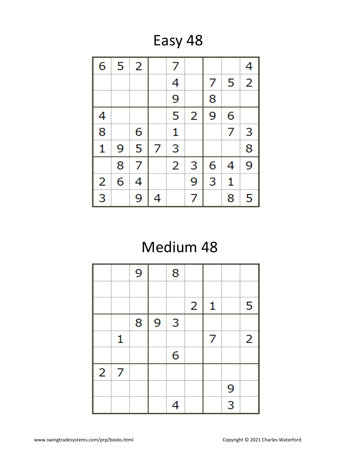Easy 48

| 6                       | 5 | 2 |   | 7              |   |   |   | 4              |
|-------------------------|---|---|---|----------------|---|---|---|----------------|
|                         |   |   |   | 4              |   | 7 | 5 | $\overline{2}$ |
|                         |   |   |   | 9              |   | 8 |   |                |
| 4                       |   |   |   | 5              | 2 | 9 | 6 |                |
| 8                       |   | 6 |   | $\mathbf{1}$   |   |   | 7 | 3              |
| $\mathbf{1}$            | 9 | 5 | 7 | 3              |   |   |   | 8              |
|                         | 8 | 7 |   | $\overline{2}$ | 3 | 6 | 4 | 9              |
| $\overline{\mathbf{c}}$ | 6 | 4 |   |                | 9 | 3 | 1 |                |
| 3                       |   | 9 | 4 |                | 7 |   | 8 | 5              |

## Medium 48

|                |   | 9 |   | 8 |                |   |   |                |
|----------------|---|---|---|---|----------------|---|---|----------------|
|                |   |   |   |   |                |   |   |                |
|                |   |   |   |   | $\overline{2}$ | 1 |   | 5              |
|                |   | 8 | 9 | 3 |                |   |   |                |
|                | 1 |   |   |   |                | 7 |   | $\overline{2}$ |
|                |   |   |   | 6 |                |   |   |                |
| $\overline{2}$ | 7 |   |   |   |                |   |   |                |
|                |   |   |   |   |                |   | 9 |                |
|                |   |   |   | 4 |                |   | 3 |                |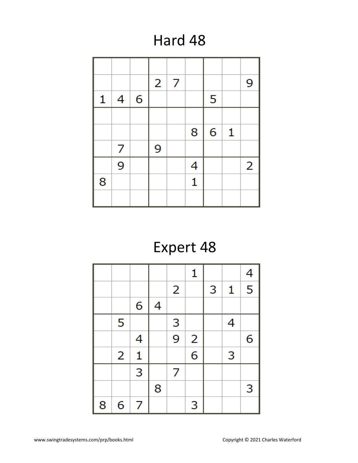## Hard 48

|   |   |   | $\overline{2}$ | 7 |   |   |              | 9              |
|---|---|---|----------------|---|---|---|--------------|----------------|
| 1 | 4 | 6 |                |   |   | 5 |              |                |
|   |   |   |                |   |   |   |              |                |
|   |   |   |                |   | 8 | 6 | $\mathbf{1}$ |                |
|   | 7 |   | 9              |   |   |   |              |                |
|   | 9 |   |                |   | 4 |   |              | $\overline{2}$ |
| 8 |   |   |                |   | 1 |   |              |                |
|   |   |   |                |   |   |   |              |                |

# Expert 48

|   |   |              |   |                | 1                       |   |              | 4              |
|---|---|--------------|---|----------------|-------------------------|---|--------------|----------------|
|   |   |              |   | $\overline{2}$ |                         | 3 | $\mathbf{1}$ | $\overline{5}$ |
|   |   | 6            | 4 |                |                         |   |              |                |
|   | 5 |              |   | 3              |                         |   | 4            |                |
|   |   | 4            |   | $\overline{9}$ | $\overline{\mathbf{c}}$ |   |              | 6              |
|   | 2 | $\mathbf{1}$ |   |                | 6                       |   | 3            |                |
|   |   | 3            |   | 7              |                         |   |              |                |
|   |   |              | 8 |                |                         |   |              | 3              |
| 8 | 6 | 7            |   |                | 3                       |   |              |                |